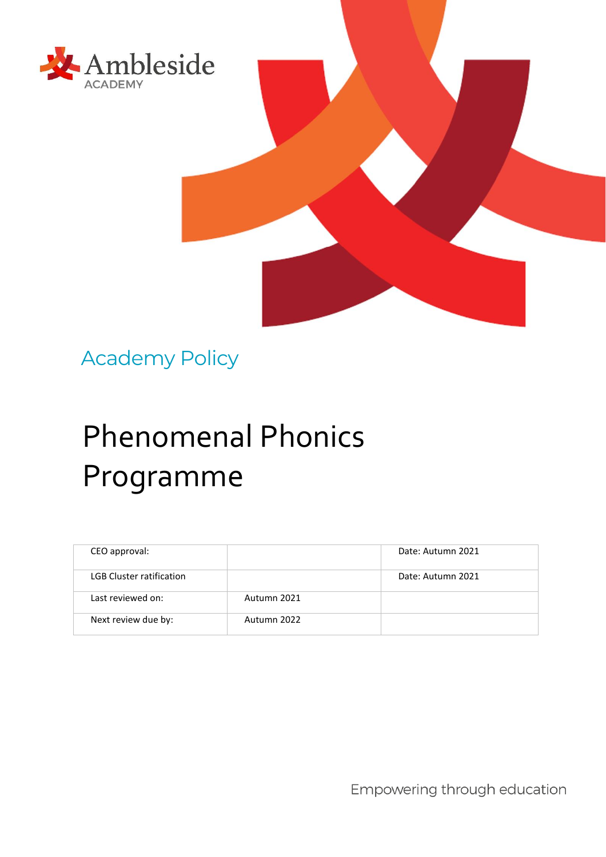



# Phenomenal Phonics Programme

| CEO approval:                   |             | Date: Autumn 2021 |
|---------------------------------|-------------|-------------------|
| <b>LGB Cluster ratification</b> |             | Date: Autumn 2021 |
| Last reviewed on:               | Autumn 2021 |                   |
| Next review due by:             | Autumn 2022 |                   |

Empowering through education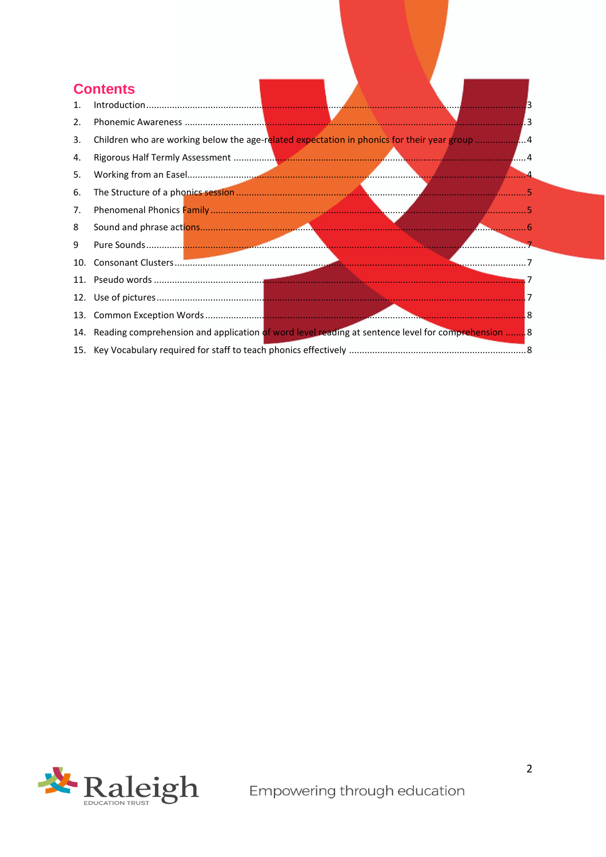# **Contents**

| 1.  |                                                                                                       |  |  |
|-----|-------------------------------------------------------------------------------------------------------|--|--|
| 2.  |                                                                                                       |  |  |
| 3.  | Children who are working below the age-related expectation in phonics for their year group            |  |  |
| 4.  |                                                                                                       |  |  |
| 5.  |                                                                                                       |  |  |
| 6.  |                                                                                                       |  |  |
| 7.  |                                                                                                       |  |  |
| 8   |                                                                                                       |  |  |
| 9   |                                                                                                       |  |  |
| 10. |                                                                                                       |  |  |
|     |                                                                                                       |  |  |
|     |                                                                                                       |  |  |
|     |                                                                                                       |  |  |
|     | 14. Reading comprehension and application of word level reading at sentence level for comprehension 8 |  |  |
|     |                                                                                                       |  |  |

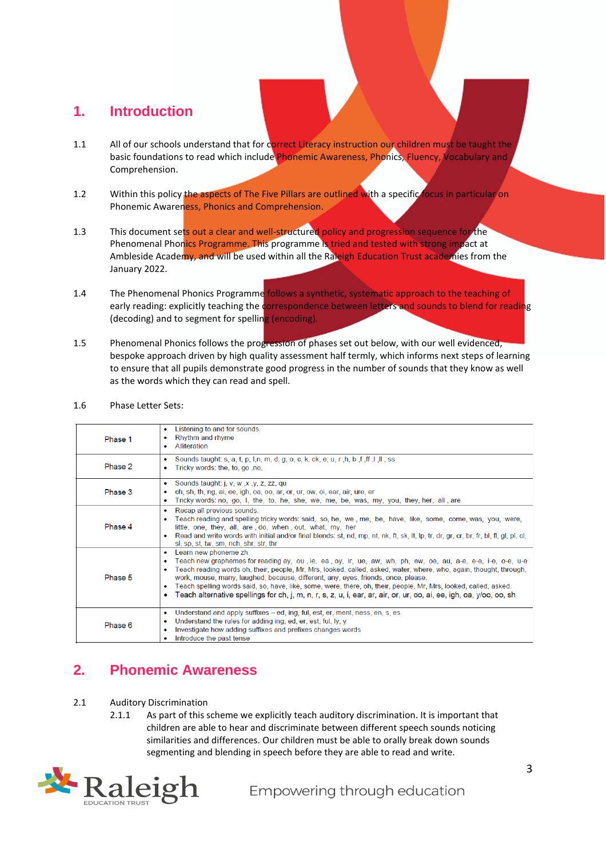### <span id="page-2-0"></span>**1. Introduction**

- 1.1 All of our schools understand that for correct Literacy instruction our children must be taught the basic foundations to read which include Phonemic Awareness, Phonics, Fluency, Vocabulary and Comprehension.
- 1.2 Within this policy the aspects of The Five Pillars are outlined with a specific focus in particular on Phonemic Awareness, Phonics and Comprehension.
- 1.3 This document sets out a clear and well-structured policy and progression sequence for the Phenomenal Phonics Programme. This programme is tried and tested with strong impact at Ambleside Academy, and will be used within all the Raleigh Education Trust academies from the January 2022.
- 1.4 The Phenomenal Phonics Programme follows a synthetic, systematic approach to the teaching of early reading: explicitly teaching the correspondence between letters and sounds to blend for reading (decoding) and to segment for spelling (encoding).
- 1.5 Phenomenal Phonics follows the progression of phases set out below, with our well evidenced, bespoke approach driven by high quality assessment half termly, which informs next steps of learning to ensure that all pupils demonstrate good progress in the number of sounds that they know as well as the words which they can read and spell.
- 1.6 Phase Letter Sets:

| Phase 1 | Listening to and for sounds.<br>٠<br>Rhythm and rhyme<br>٠<br>Alliteration<br>۰                                                                                                                                                                                                                                                                                                                                                                                                                                                                                                                                              |
|---------|------------------------------------------------------------------------------------------------------------------------------------------------------------------------------------------------------------------------------------------------------------------------------------------------------------------------------------------------------------------------------------------------------------------------------------------------------------------------------------------------------------------------------------------------------------------------------------------------------------------------------|
| Phase 2 | Sounds taught: s, a, t, p, l,n, m, d, g, o, c, k, ck, e, u, r, h, b, f, ff, l, ll, ss<br>$\bullet$<br>Tricky words: the, to, go, no,<br>$\bullet$                                                                                                                                                                                                                                                                                                                                                                                                                                                                            |
| Phase 3 | Sounds taught: j, v, w, x, y, z, zz, qu<br>$\bullet$<br>ch, sh, th, ng, ai, ee, igh, oa, oo, ar, or, ur, ow, oi, ear, air, ure, er<br>۰<br>Tricky words: no, go, I, the, to, he, she, we, me, be, was, my, you, they, her, all, are<br>۰                                                                                                                                                                                                                                                                                                                                                                                     |
| Phase 4 | Recap all previous sounds.<br>۰<br>Teach reading and spelling tricky words: said, so, he, we, me, be, have, like, some, come, was, you, were,<br>little, one, they, all, are, do, when, out, what, my, her<br>• Read and write words with initial and/or final blends: st, nd, mp, nt, nk, ft, sk, lt, lp, tr, dr, gr, cr, br, fr, bl, fl, gl, pl, cl,<br>sl, sp, st, tw, sm, nch, shr, str, thr                                                                                                                                                                                                                             |
| Phase 5 | Learn new phoneme zh<br>٠<br>Teach new graphemes for reading ay, ou , ie, ea , oy, ir, ue, aw, wh, ph, ew, oe, au, a-e, e-e, i-e, o-e, u-e<br>۰<br>Teach reading words oh, their, people, Mr, Mrs, looked, called, asked, water, where, who, again, thought, through,<br>٠<br>work, mouse, many, laughed, because, different, any, eyes, friends, once, please.<br>Teach spelling words said, so, have, like, some, were, there, oh, their, people, Mr, Mrs, looked, called, asked.<br>٠<br>Teach alternative spellings for ch, j, m, n, r, s, z, u, i, ear, ar, air, or, ur, oo, ai, ee, igh, oa, y/oo, oo, sh<br>$\bullet$ |
| Phase 6 | Understand and apply suffixes – ed, ing, ful, est, er, ment, ness, en, s, es<br>٠<br>Understand the rules for adding ing, ed, er, est, ful, ly, y<br>٠<br>Investigate how adding suffixes and prefixes changes words<br>٠<br>Introduce the past tense                                                                                                                                                                                                                                                                                                                                                                        |

# <span id="page-2-1"></span>**2. Phonemic Awareness**

- 2.1 Auditory Discrimination
	- 2.1.1 As part of this scheme we explicitly teach auditory discrimination. It is important that children are able to hear and discriminate between different speech sounds noticing similarities and differences. Our children must be able to orally break down sounds segmenting and blending in speech before they are able to read and write.

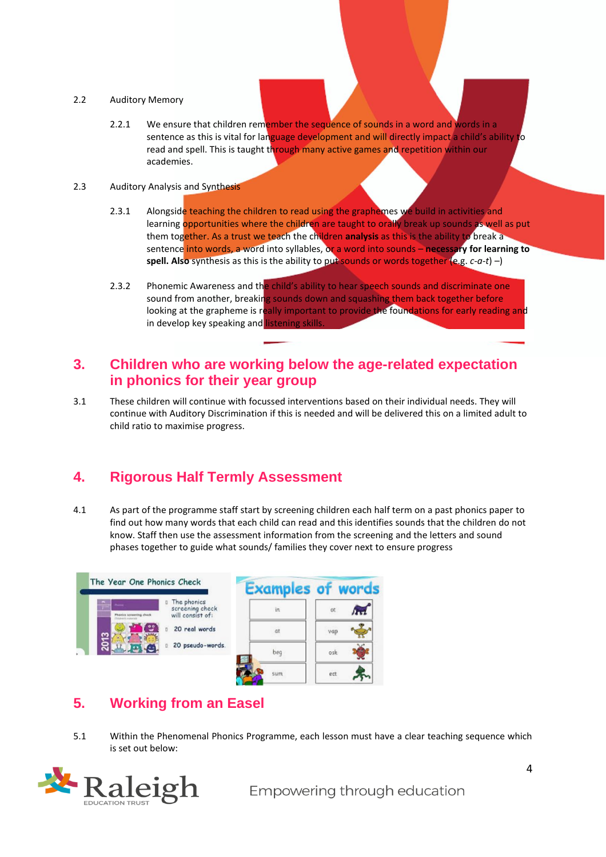#### 2.2 Auditory Memory

2.2.1 We ensure that children remember the sequence of sounds in a word and words in a sentence as this is vital for language development and will directly impact a child's ability to read and spell. This is taught through many active games and repetition within our academies.

#### 2.3 Auditory Analysis and Synthesis

- 2.3.1 Alongside teaching the children to read using the graphemes we build in activities and learning opportunities where the children are taught to orally break up sounds as well as put them together. As a trust we teach the children **analysis** as this is the ability to break a sentence into words, a word into syllables, or a word into sounds – **necessary for learning to spell. Also** synthesis as this is the ability to put sounds or words together (e.g. *c-a-t*) –)
- 2.3.2 Phonemic Awareness and the child's ability to hear speech sounds and discriminate one sound from another, breaking sounds down and squashing them back together before looking at the grapheme is really important to provide the foundations for early reading and in develop key speaking and listening skills.

#### <span id="page-3-0"></span>**3. Children who are working below the age-related expectation in phonics for their year group**

3.1 These children will continue with focussed interventions based on their individual needs. They will continue with Auditory Discrimination if this is needed and will be delivered this on a limited adult to child ratio to maximise progress.

# <span id="page-3-1"></span>**4. Rigorous Half Termly Assessment**

4.1 As part of the programme staff start by screening children each half term on a past phonics paper to find out how many words that each child can read and this identifies sounds that the children do not know. Staff then use the assessment information from the screening and the letters and sound phases together to guide what sounds/ families they cover next to ensure progress

|                                                                  |                                                    | <b>Examples of words</b> |     |
|------------------------------------------------------------------|----------------------------------------------------|--------------------------|-----|
| m.<br><b>Photography</b><br><b>Ta</b><br>Phonics screening check | The phonics<br>screening check<br>will consist of: | in                       | ot  |
|                                                                  | 20 real words                                      | at                       | vap |
| S.o                                                              | 20 pseudo-words.                                   | beq                      | osk |
|                                                                  |                                                    | sum                      | ect |

# <span id="page-3-2"></span>**5. Working from an Easel**

5.1 Within the Phenomenal Phonics Programme, each lesson must have a clear teaching sequence which is set out below:

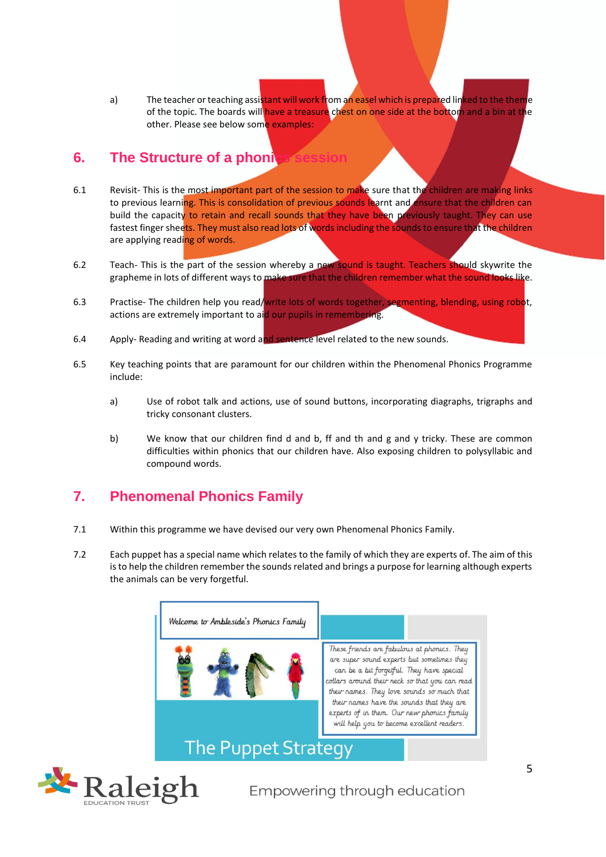a) The teacher or teaching assistant will work from an easel which is prepared linked to the theme of the topic. The boards will have a treasure chest on one side at the bottom and a bin at the other. Please see below some examples:

#### <span id="page-4-0"></span>**6.** The Structure of a phonic

- 6.1 Revisit- This is the most important part of the session to make sure that the children are making links to previous learning. This is consolidation of previous sounds learnt and ensure that the children can build the capacity to retain and recall sounds that they have been previously taught. They can use fastest finger sheets. They must also read lots of words including the sounds to ensure that the children are applying reading of words.
- 6.2 Teach- This is the part of the session whereby a new sound is taught. Teachers should skywrite the grapheme in lots of different ways to make sure that the children remember what the sound looks like.
- 6.3 Practise- The children help you read/write lots of words together, segmenting, blending, using robot, actions are extremely important to aid our pupils in remembering.
- 6.4 Apply- Reading and writing at word and sentence level related to the new sounds.
- 6.5 Key teaching points that are paramount for our children within the Phenomenal Phonics Programme include:
	- a) Use of robot talk and actions, use of sound buttons, incorporating diagraphs, trigraphs and tricky consonant clusters.
	- b) We know that our children find d and b, ff and th and g and y tricky. These are common difficulties within phonics that our children have. Also exposing children to polysyllabic and compound words.

# <span id="page-4-1"></span>**7. Phenomenal Phonics Family**

- 7.1 Within this programme we have devised our very own Phenomenal Phonics Family.
- 7.2 Each puppet has a special name which relates to the family of which they are experts of. The aim of this is to help the children remember the sounds related and brings a purpose for learning although experts the animals can be very forgetful.



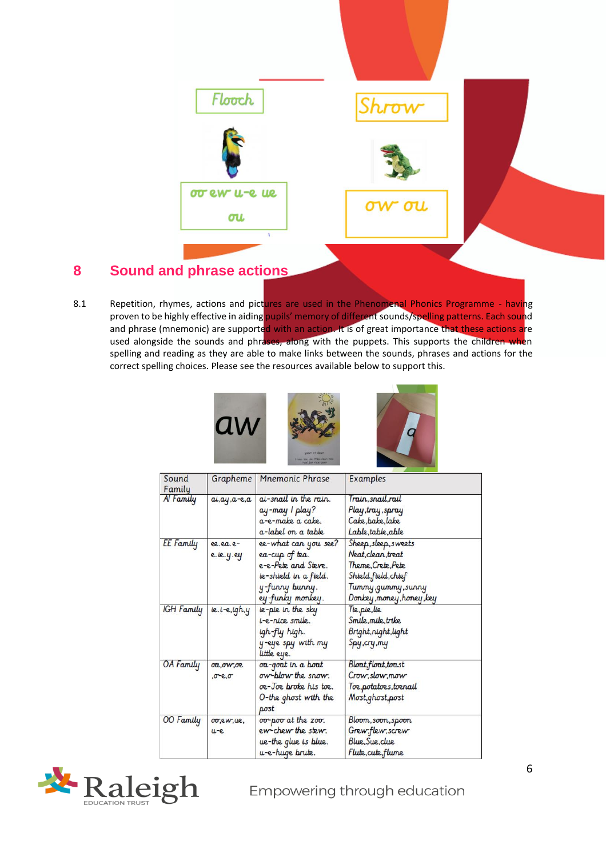

# <span id="page-5-0"></span>**8 Sound and phrase actions**

8.1 Repetition, rhymes, actions and pictures are used in the Phenomenal Phonics Programme - having proven to be highly effective in aiding pupils' memory of different sounds/spelling patterns. Each sound and phrase (mnemonic) are supported with an action. It is of great importance that these actions are used alongside the sounds and phrases, along with the puppets. This supports the children when spelling and reading as they are able to make links between the sounds, phrases and actions for the correct spelling choices. Please see the resources available below to support this.



| Sound<br>Family   | Grapheme        | <b>Mnemonic Phrase</b> | <b>Examples</b>           |
|-------------------|-----------------|------------------------|---------------------------|
| Al Family         | $a, ay, a-e, a$ | at-snall in the rain.  | Train,snail,rail          |
|                   |                 | ay-may 1 play?         | Play, tray, spray         |
|                   |                 | a-e-make a cake.       | Cake, bake, lake          |
|                   |                 | a-label on a table     | Lable, table, able        |
| EE Family         | ee.ea.e-        | ee-what can you see?   | Sheep, sleep, sweets      |
|                   | e.le.y.ey       | ea-cup of tea.         | Neat, clean, treat        |
|                   |                 | e-e-Pete and Steve.    | Theme, Crete, Pete        |
|                   |                 | ie-shield in a field.  | Shield, field, chief      |
|                   |                 | y-funny bunny.         | Tunny,gunny,surny         |
|                   |                 | ey-funky monkey.       | Donkey, money, honey, key |
| <b>IGH</b> Family | $le.1-e.$ igh.y | ie-pie in the sky      | Tie,pie,lie               |
|                   |                 | t-e-nice smile.        | Smile, mile, trike        |
|                   |                 | igh-fly high.          | Bright, night, light      |
|                   |                 | y-eye spy with my      | Spy, cry, my              |
|                   |                 | little eye.            |                           |
| OA Family         | <i>oa,ow,oe</i> | oa-goat in a boat      | Bloat, float, toast       |
|                   | $0 - 8.0$       | ow-blow the snow.      | Crow, slow, mow           |
|                   |                 | oe-Joe broke his toe.  | Toe,potatoes,toenail      |
|                   |                 | 0-the ghost with the   | Most, ghost, post         |
|                   |                 | post                   |                           |
| 00 Family         | OO,ew,ue,       | 00-poo at the zoo.     | Bloom, soon, spoon        |
|                   | $u-e$           | ew-chew the stew.      | Grew, flew, screw         |
|                   |                 | ue-the glue is blue.   | Blue, Sue, clue           |
|                   |                 | u-e-huge brute.        | Flute, cute, flume        |

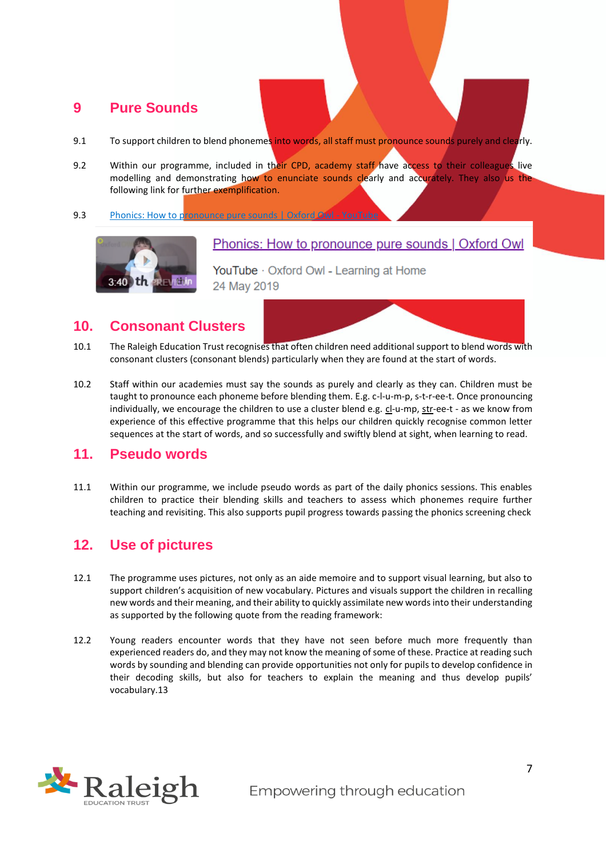#### <span id="page-6-0"></span>**9 Pure Sounds**

- 9.1 To support children to blend phonemes into words, all staff must pronounce sounds purely and clearly.
- 9.2 Within our programme, included in their CPD, academy staff have access to their colleagues live modelling and demonstrating how to enunciate sounds clearly and accurately. They also us the following link for further exemplification.
- 9.3 [Phonics: How to pronounce pure sounds | Oxford Owl -](https://www.youtube.com/watch?v=UCI2mu7URBc) YouTube



#### Phonics: How to pronounce pure sounds | Oxford Owl

YouTube · Oxford Owl - Learning at Home 24 May 2019

#### <span id="page-6-1"></span>**10. Consonant Clusters**

- 10.1 The Raleigh Education Trust recognises that often children need additional support to blend words with consonant clusters (consonant blends) particularly when they are found at the start of words.
- 10.2 Staff within our academies must say the sounds as purely and clearly as they can. Children must be taught to pronounce each phoneme before blending them. E.g. c-l-u-m-p, s-t-r-ee-t. Once pronouncing individually, we encourage the children to use a cluster blend e.g. cl-u-mp, str-ee-t - as we know from experience of this effective programme that this helps our children quickly recognise common letter sequences at the start of words, and so successfully and swiftly blend at sight, when learning to read.

#### <span id="page-6-2"></span>**11. Pseudo words**

11.1 Within our programme, we include pseudo words as part of the daily phonics sessions. This enables children to practice their blending skills and teachers to assess which phonemes require further teaching and revisiting. This also supports pupil progress towards passing the phonics screening check

#### <span id="page-6-3"></span>**12. Use of pictures**

- 12.1 The programme uses pictures, not only as an aide memoire and to support visual learning, but also to support children's acquisition of new vocabulary. Pictures and visuals support the children in recalling new words and their meaning, and their ability to quickly assimilate new words into their understanding as supported by the following quote from the reading framework:
- 12.2 Young readers encounter words that they have not seen before much more frequently than experienced readers do, and they may not know the meaning of some of these. Practice at reading such words by sounding and blending can provide opportunities not only for pupils to develop confidence in their decoding skills, but also for teachers to explain the meaning and thus develop pupils' vocabulary.13

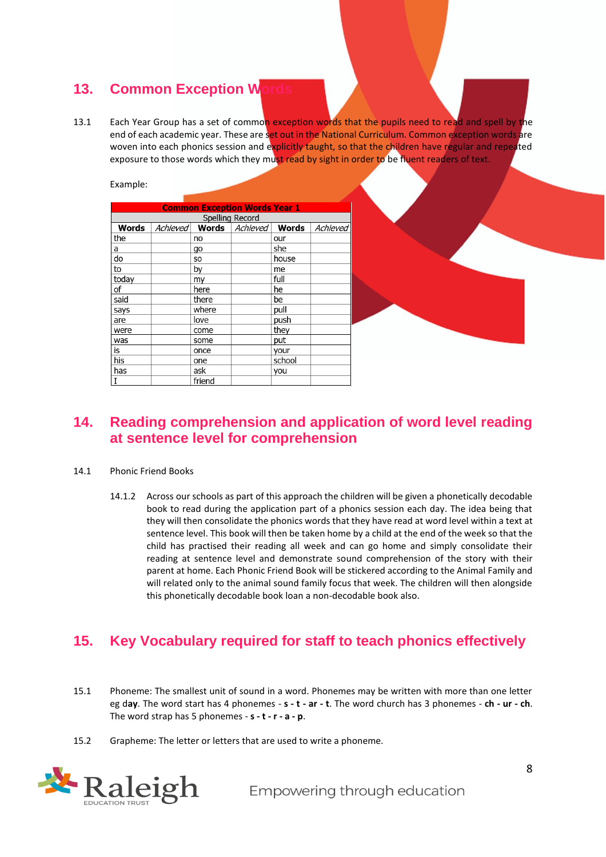# <span id="page-7-0"></span>**13. Common Exception W**

13.1 Each Year Group has a set of common exception words that the pupils need to read and spell by the end of each academic year. These are set out in the National Curriculum. Common exception words are woven into each phonics session and explicitly taught, so that the children have regular and repeated exposure to those words which they must read by sight in order to be fluent readers of text.

Example:

| <b>Common Exception Words Year 1</b> |  |        |                                             |        |          |  |  |  |
|--------------------------------------|--|--------|---------------------------------------------|--------|----------|--|--|--|
| Spelling Record                      |  |        |                                             |        |          |  |  |  |
| Words                                |  |        | Achieved <b>Words</b> Achieved <b>Words</b> |        | Achieved |  |  |  |
| the                                  |  | no     |                                             | our    |          |  |  |  |
| a                                    |  | go     |                                             | she    |          |  |  |  |
| do                                   |  | SO     |                                             | house  |          |  |  |  |
| to                                   |  | by     |                                             | me     |          |  |  |  |
| today                                |  | my     |                                             | full   |          |  |  |  |
| of                                   |  | here   |                                             | he     |          |  |  |  |
| said                                 |  | there  |                                             | be     |          |  |  |  |
| says                                 |  | where  |                                             | pull   |          |  |  |  |
| are                                  |  | love   |                                             | push   |          |  |  |  |
| were                                 |  | come   |                                             | they   |          |  |  |  |
| was                                  |  | some   |                                             | put    |          |  |  |  |
| is                                   |  | once   |                                             | your   |          |  |  |  |
| his                                  |  | one    |                                             | school |          |  |  |  |
| has                                  |  | ask    |                                             | you    |          |  |  |  |
| I                                    |  | friend |                                             |        |          |  |  |  |

#### <span id="page-7-1"></span>**14. Reading comprehension and application of word level reading at sentence level for comprehension**

- 14.1 Phonic Friend Books
	- 14.1.2 Across our schools as part of this approach the children will be given a phonetically decodable book to read during the application part of a phonics session each day. The idea being that they will then consolidate the phonics words that they have read at word level within a text at sentence level. This book will then be taken home by a child at the end of the week so that the child has practised their reading all week and can go home and simply consolidate their reading at sentence level and demonstrate sound comprehension of the story with their parent at home. Each Phonic Friend Book will be stickered according to the Animal Family and will related only to the animal sound family focus that week. The children will then alongside this phonetically decodable book loan a non-decodable book also.

# <span id="page-7-2"></span>**15. Key Vocabulary required for staff to teach phonics effectively**

- 15.1 Phoneme: The smallest unit of sound in a word. Phonemes may be written with more than one letter eg d**ay**. The word start has 4 phonemes - **s - t - ar - t**. The word church has 3 phonemes - **ch - ur - ch**. The word strap has 5 phonemes - **s - t - r - a - p**.
- 15.2 Grapheme: The letter or letters that are used to write a phoneme.

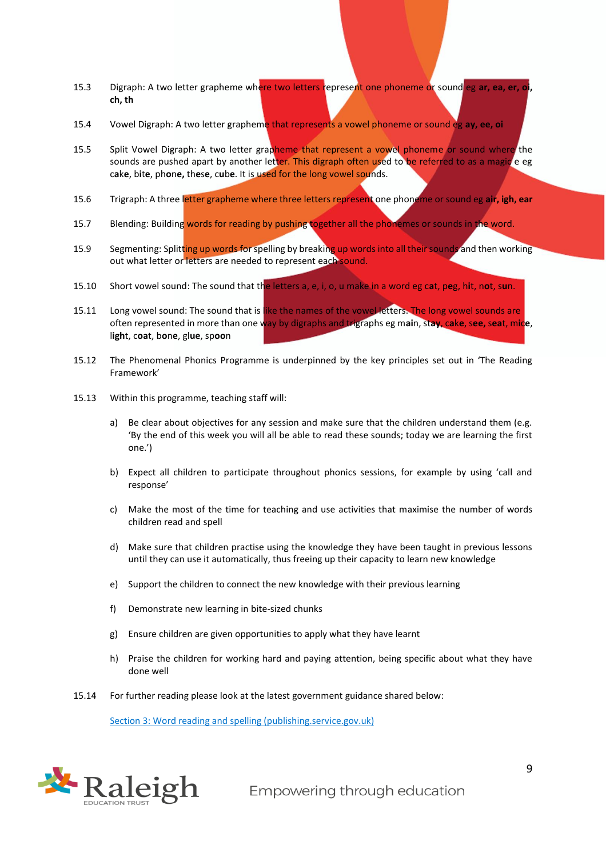- 15.3 Digraph: A two letter grapheme where two letters represent one phoneme or sound eg **ar, ea, er, oi, ch, th**
- 15.4 Vowel Digraph: A two letter grapheme that represents a vowel phoneme or sound eg **ay, ee, oi**
- 15.5 Split Vowel Digraph: A two letter grapheme that represent a vowel phoneme or sound where the sounds are pushed apart by another letter. This digraph often used to be referred to as a magic e eg c**a**k**e**, b**i**t**e**, ph**o**n**e,** th**e**s**e**, c**u**b**e**. It is used for the long vowel sounds.
- 15.6 Trigraph: A three letter grapheme where three letters represent one phoneme or sound eg **air, igh, ear**
- 15.7 Blending: Building words for reading by pushing together all the phonemes or sounds in the word.
- 15.9 Segmenting: Splitting up words for spelling by breaking up words into all their sounds and then working out what letter or letters are needed to represent each sound.
- 15.10 Short vowel sound: The sound that the letters a, e, i, o, u make in a word eg c**a**t, p**e**g, h**i**t, n**o**t, s**u**n.
- 15.11 Long vowel sound: The sound that is like the names of the vowelletters. The long vowel sounds are often represented in more than one way by digraphs and trigraphs eg m**ai**n, st**ay**, c**a**k**e**, s**ee,** s**ea**t, m**i**c**e**, l**igh**t, c**oa**t, b**o**n**e**, gl**ue**, sp**oo**n
- 15.12 The Phenomenal Phonics Programme is underpinned by the key principles set out in 'The Reading Framework'
- 15.13 Within this programme, teaching staff will:
	- a) Be clear about objectives for any session and make sure that the children understand them (e.g. 'By the end of this week you will all be able to read these sounds; today we are learning the first one.')
	- b) Expect all children to participate throughout phonics sessions, for example by using 'call and response'
	- c) Make the most of the time for teaching and use activities that maximise the number of words children read and spell
	- d) Make sure that children practise using the knowledge they have been taught in previous lessons until they can use it automatically, thus freeing up their capacity to learn new knowledge
	- e) Support the children to connect the new knowledge with their previous learning
	- f) Demonstrate new learning in bite-sized chunks
	- g) Ensure children are given opportunities to apply what they have learnt
	- h) Praise the children for working hard and paying attention, being specific about what they have done well
- 15.14 For further reading please look at the latest government guidance shared below:

[Section 3: Word reading and spelling \(publishing.service.gov.uk\)](https://assets.publishing.service.gov.uk/government/uploads/system/uploads/attachment_data/file/1000914/Reading_framework_Teaching_the_foundations_of_literacy_-_Section_3.pdf)